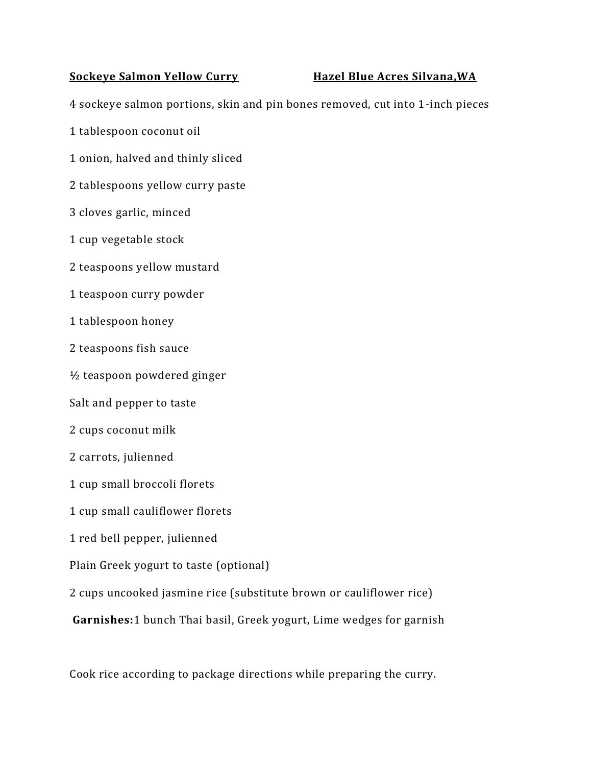## **Sockeye Salmon Yellow Curry Hazel Blue Acres Silvana,WA**

4 sockeye salmon portions, skin and pin bones removed, cut into 1-inch pieces

- 1 tablespoon coconut oil
- 1 onion, halved and thinly sliced
- 2 tablespoons yellow curry paste
- 3 cloves garlic, minced
- 1 cup vegetable stock
- 2 teaspoons yellow mustard
- 1 teaspoon curry powder
- 1 tablespoon honey
- 2 teaspoons fish sauce
- ½ teaspoon powdered ginger
- Salt and pepper to taste
- 2 cups coconut milk
- 2 carrots, julienned
- 1 cup small broccoli florets
- 1 cup small cauliflower florets
- 1 red bell pepper, julienned
- Plain Greek yogurt to taste (optional)
- 2 cups uncooked jasmine rice (substitute brown or cauliflower rice)
- **Garnishes:**1 bunch Thai basil, Greek yogurt, Lime wedges for garnish

Cook rice according to package directions while preparing the curry.